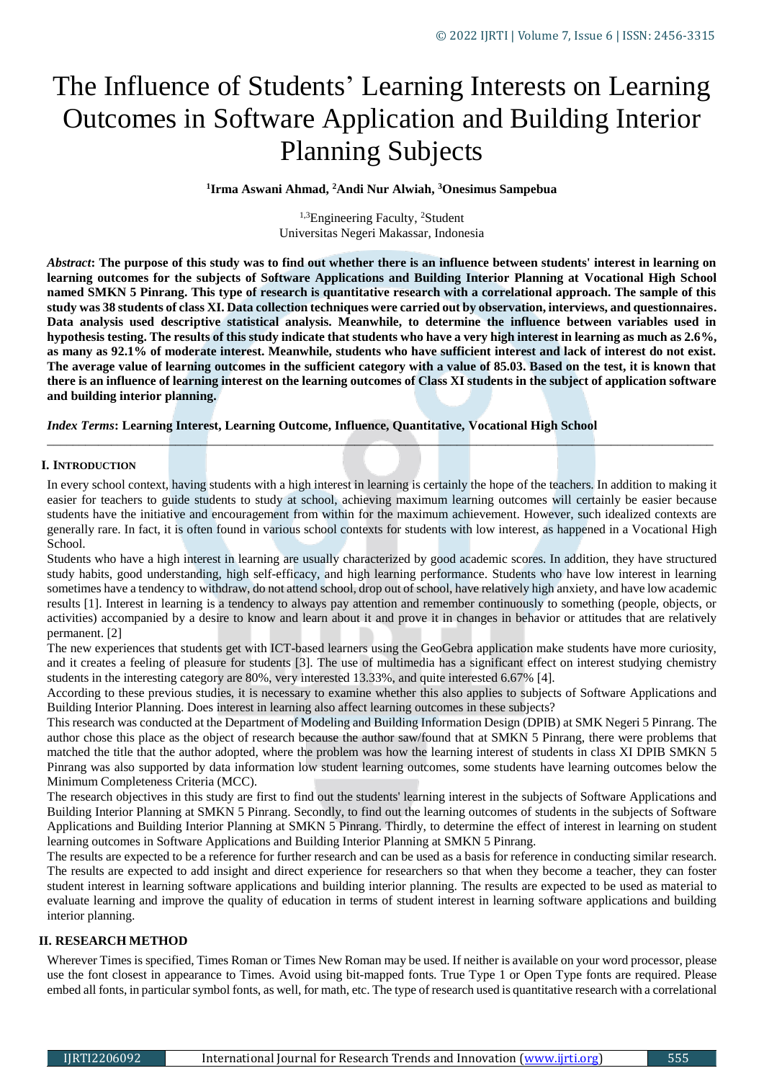# The Influence of Students' Learning Interests on Learning Outcomes in Software Application and Building Interior Planning Subjects

**1 Irma Aswani Ahmad, <sup>2</sup>Andi Nur Alwiah, <sup>3</sup>Onesimus Sampebua**

<sup>1,3</sup>Engineering Faculty, <sup>2</sup>Student Universitas Negeri Makassar, Indonesia

*Abstract***: The purpose of this study was to find out whether there is an influence between students' interest in learning on learning outcomes for the subjects of Software Applications and Building Interior Planning at Vocational High School named SMKN 5 Pinrang. This type of research is quantitative research with a correlational approach. The sample of this study was 38 students of class XI. Data collection techniques were carried out by observation, interviews, and questionnaires. Data analysis used descriptive statistical analysis. Meanwhile, to determine the influence between variables used in hypothesis testing. The results of this study indicate that students who have a very high interest in learning as much as 2.6%, as many as 92.1% of moderate interest. Meanwhile, students who have sufficient interest and lack of interest do not exist. The average value of learning outcomes in the sufficient category with a value of 85.03. Based on the test, it is known that there is an influence of learning interest on the learning outcomes of Class XI students in the subject of application software and building interior planning.**

*Index Terms***: Learning Interest, Learning Outcome, Influence, Quantitative, Vocational High School**

#### **I. INTRODUCTION**

In every school context, having students with a high interest in learning is certainly the hope of the teachers. In addition to making it easier for teachers to guide students to study at school, achieving maximum learning outcomes will certainly be easier because students have the initiative and encouragement from within for the maximum achievement. However, such idealized contexts are generally rare. In fact, it is often found in various school contexts for students with low interest, as happened in a Vocational High School.

*\_\_\_\_\_\_\_\_\_\_\_\_\_\_\_\_\_\_\_\_\_\_\_\_\_\_\_\_\_\_\_\_\_\_\_\_\_\_\_\_\_\_\_\_\_\_\_\_\_\_\_\_\_\_\_\_\_\_\_\_\_\_\_\_\_\_\_\_\_\_\_\_\_\_\_\_\_\_\_\_\_\_\_\_\_\_\_\_\_\_\_\_\_\_\_\_\_\_\_\_\_\_\_\_*

Students who have a high interest in learning are usually characterized by good academic scores. In addition, they have structured study habits, good understanding, high self-efficacy, and high learning performance. Students who have low interest in learning sometimes have a tendency to withdraw, do not attend school, drop out of school, have relatively high anxiety, and have low academic results [1]. Interest in learning is a tendency to always pay attention and remember continuously to something (people, objects, or activities) accompanied by a desire to know and learn about it and prove it in changes in behavior or attitudes that are relatively permanent. [2]

The new experiences that students get with ICT-based learners using the GeoGebra application make students have more curiosity, and it creates a feeling of pleasure for students [3]. The use of multimedia has a significant effect on interest studying chemistry students in the interesting category are 80%, very interested 13.33%, and quite interested 6.67% [4].

According to these previous studies, it is necessary to examine whether this also applies to subjects of Software Applications and Building Interior Planning. Does interest in learning also affect learning outcomes in these subjects?

This research was conducted at the Department of Modeling and Building Information Design (DPIB) at SMK Negeri 5 Pinrang. The author chose this place as the object of research because the author saw/found that at SMKN 5 Pinrang, there were problems that matched the title that the author adopted, where the problem was how the learning interest of students in class XI DPIB SMKN 5 Pinrang was also supported by data information low student learning outcomes, some students have learning outcomes below the Minimum Completeness Criteria (MCC).

The research objectives in this study are first to find out the students' learning interest in the subjects of Software Applications and Building Interior Planning at SMKN 5 Pinrang. Secondly, to find out the learning outcomes of students in the subjects of Software Applications and Building Interior Planning at SMKN 5 Pinrang. Thirdly, to determine the effect of interest in learning on student learning outcomes in Software Applications and Building Interior Planning at SMKN 5 Pinrang.

The results are expected to be a reference for further research and can be used as a basis for reference in conducting similar research. The results are expected to add insight and direct experience for researchers so that when they become a teacher, they can foster student interest in learning software applications and building interior planning. The results are expected to be used as material to evaluate learning and improve the quality of education in terms of student interest in learning software applications and building interior planning.

## **II. RESEARCH METHOD**

Wherever Times is specified, Times Roman or Times New Roman may be used. If neither is available on your word processor, please use the font closest in appearance to Times. Avoid using bit-mapped fonts. True Type 1 or Open Type fonts are required. Please embed all fonts, in particular symbol fonts, as well, for math, etc. The type of research used is quantitative research with a correlational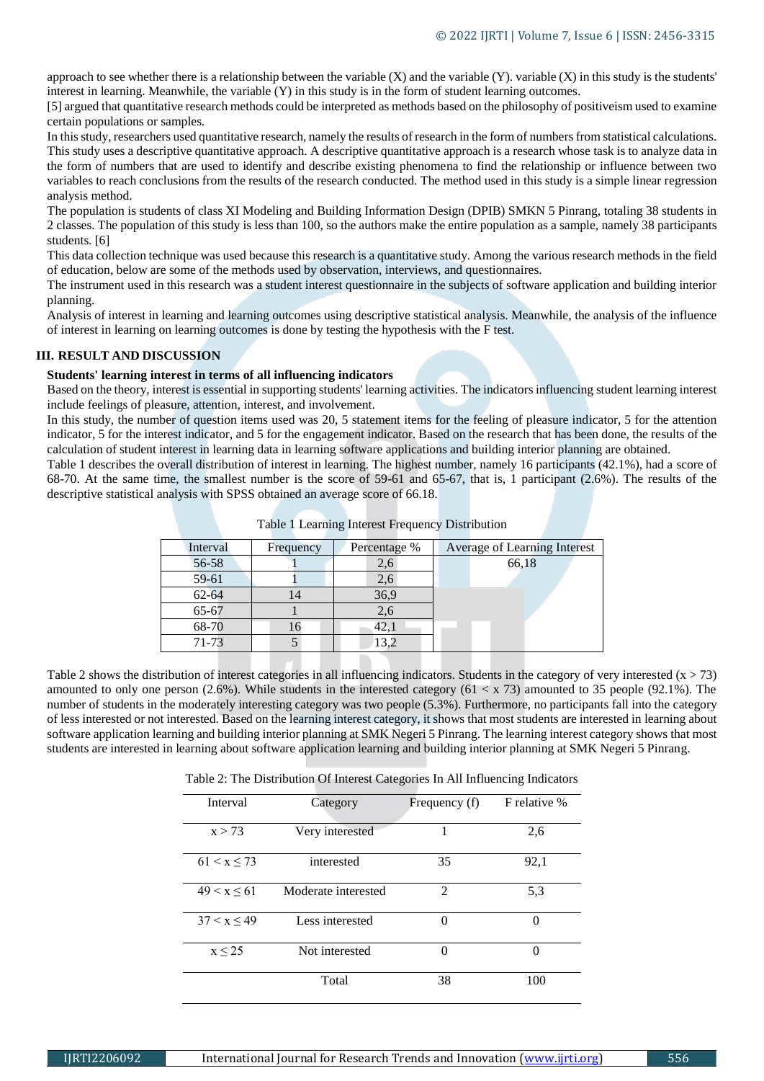approach to see whether there is a relationship between the variable  $(X)$  and the variable  $(Y)$ . variable  $(X)$  in this study is the students' interest in learning. Meanwhile, the variable (Y) in this study is in the form of student learning outcomes.

[5] argued that quantitative research methods could be interpreted as methods based on the philosophy of positiveism used to examine certain populations or samples.

In this study, researchers used quantitative research, namely the results of research in the form of numbers from statistical calculations. This study uses a descriptive quantitative approach. A descriptive quantitative approach is a research whose task is to analyze data in the form of numbers that are used to identify and describe existing phenomena to find the relationship or influence between two variables to reach conclusions from the results of the research conducted. The method used in this study is a simple linear regression analysis method.

The population is students of class XI Modeling and Building Information Design (DPIB) SMKN 5 Pinrang, totaling 38 students in 2 classes. The population of this study is less than 100, so the authors make the entire population as a sample, namely 38 participants students. [6]

This data collection technique was used because this research is a quantitative study. Among the various research methods in the field of education, below are some of the methods used by observation, interviews, and questionnaires.

The instrument used in this research was a student interest questionnaire in the subjects of software application and building interior planning.

Analysis of interest in learning and learning outcomes using descriptive statistical analysis. Meanwhile, the analysis of the influence of interest in learning on learning outcomes is done by testing the hypothesis with the F test.

# **III. RESULT AND DISCUSSION**

#### **Students' learning interest in terms of all influencing indicators**

Based on the theory, interest is essential in supporting students' learning activities. The indicators influencing student learning interest include feelings of pleasure, attention, interest, and involvement.

In this study, the number of question items used was 20, 5 statement items for the feeling of pleasure indicator, 5 for the attention indicator, 5 for the interest indicator, and 5 for the engagement indicator. Based on the research that has been done, the results of the calculation of student interest in learning data in learning software applications and building interior planning are obtained.

Table 1 describes the overall distribution of interest in learning. The highest number, namely 16 participants (42.1%), had a score of 68-70. At the same time, the smallest number is the score of 59-61 and 65-67, that is, 1 participant (2.6%). The results of the descriptive statistical analysis with SPSS obtained an average score of 66.18.

| Interval  | Frequency | Percentage % | Average of Learning Interest |
|-----------|-----------|--------------|------------------------------|
| 56-58     |           | 2,6          | 66,18                        |
| $59 - 61$ |           | 2,6          |                              |
| $62 - 64$ |           | 36,9         |                              |
| 65-67     |           | 2.6          |                              |
| 68-70     |           | 42,1         |                              |
| 71-73     |           | 13,2         |                              |
|           |           |              |                              |

|  |  | Table 1 Learning Interest Frequency Distribution |  |
|--|--|--------------------------------------------------|--|
|  |  |                                                  |  |
|  |  |                                                  |  |
|  |  |                                                  |  |

Table 2 shows the distribution of interest categories in all influencing indicators. Students in the category of very interested  $(x > 73)$ amounted to only one person (2.6%). While students in the interested category (61  $\lt x$  73) amounted to 35 people (92.1%). The number of students in the moderately interesting category was two people (5.3%). Furthermore, no participants fall into the category of less interested or not interested. Based on the learning interest category, it shows that most students are interested in learning about software application learning and building interior planning at SMK Negeri 5 Pinrang. The learning interest category shows that most students are interested in learning about software application learning and building interior planning at SMK Negeri 5 Pinrang.

Table 2: The Distribution Of Interest Categories In All Influencing Indicators

| Interval    | Category            | Frequency (f)  | F relative % |  |
|-------------|---------------------|----------------|--------------|--|
| x > 73      | Very interested     |                | 2,6          |  |
| 61 < x < 73 | interested          | 35             | 92,1         |  |
| 49 < x < 61 | Moderate interested | $\mathfrak{D}$ | 5,3          |  |
| 37 < x < 49 | Less interested     | 0              | 0            |  |
| $x \leq 25$ | Not interested      | 0              | 0            |  |
|             | Total               | 38             | 100          |  |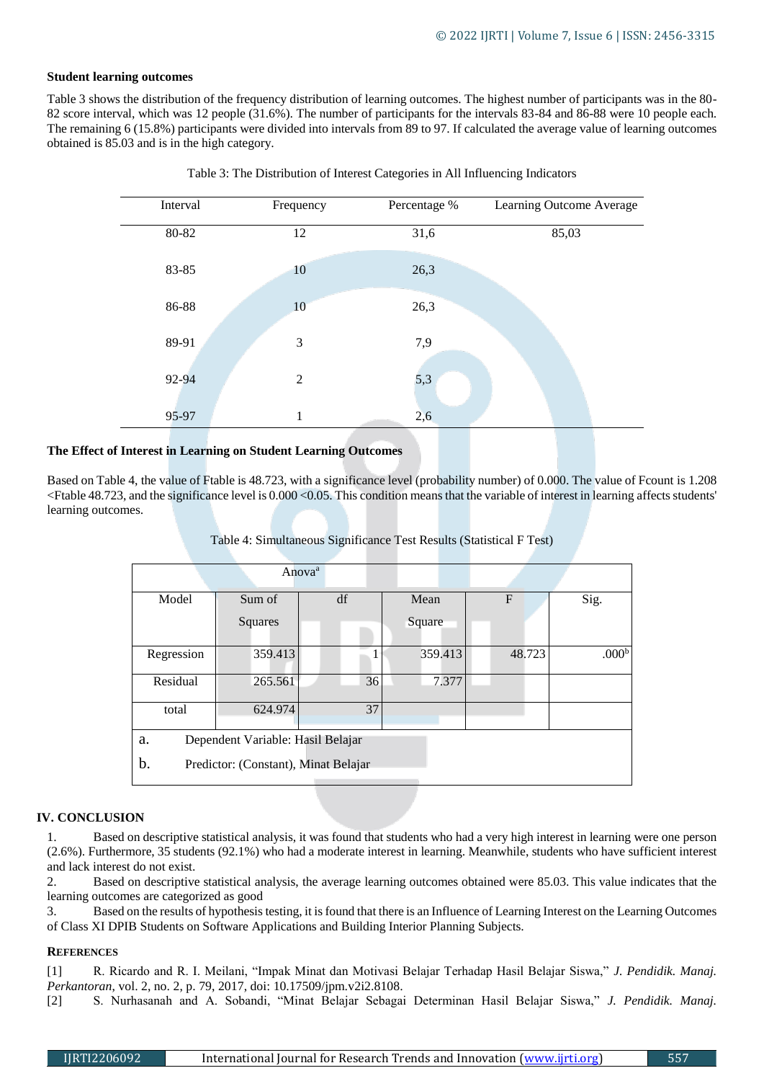## **Student learning outcomes**

Table 3 shows the distribution of the frequency distribution of learning outcomes. The highest number of participants was in the 80- 82 score interval, which was 12 people (31.6%). The number of participants for the intervals 83-84 and 86-88 were 10 people each. The remaining 6 (15.8%) participants were divided into intervals from 89 to 97. If calculated the average value of learning outcomes obtained is 85.03 and is in the high category.

| Interval | Frequency      | Percentage % | Learning Outcome Average |
|----------|----------------|--------------|--------------------------|
| 80-82    | 12             | 31,6         | 85,03                    |
| 83-85    | 10             | 26,3         |                          |
| 86-88    | 10             | 26,3         |                          |
| 89-91    | 3              | 7,9          |                          |
| 92-94    | $\overline{2}$ | 5,3          |                          |
| 95-97    | 1              | 2,6          |                          |



# **The Effect of Interest in Learning on Student Learning Outcomes**

Based on Table 4, the value of Ftable is 48.723, with a significance level (probability number) of 0.000. The value of Fcount is 1.208 <Ftable 48.723, and the significance level is 0.000 <0.05. This condition means that the variable of interest in learning affects students' learning outcomes.

| Table 4: Simultaneous Significance Test Results (Statistical F Test) |  |  |  |
|----------------------------------------------------------------------|--|--|--|
|                                                                      |  |  |  |

|                                            |         | Anova <sup>a</sup> |    |        |         |                |        |                   |
|--------------------------------------------|---------|--------------------|----|--------|---------|----------------|--------|-------------------|
| Model                                      | Sum of  | df                 |    | Mean   |         | $\overline{F}$ |        | Sig.              |
|                                            | Squares |                    |    | Square |         |                |        |                   |
| Regression                                 | 359.413 |                    |    |        | 359.413 |                | 48.723 | .000 <sup>b</sup> |
| Residual                                   | 265.561 |                    | 36 |        | 7.377   |                |        |                   |
| total                                      | 624.974 |                    | 37 |        |         |                |        |                   |
| Dependent Variable: Hasil Belajar<br>a.    |         |                    |    |        |         |                |        |                   |
| b.<br>Predictor: (Constant), Minat Belajar |         |                    |    |        |         |                |        |                   |

## **IV. CONCLUSION**

1. Based on descriptive statistical analysis, it was found that students who had a very high interest in learning were one person (2.6%). Furthermore, 35 students (92.1%) who had a moderate interest in learning. Meanwhile, students who have sufficient interest and lack interest do not exist.

2. Based on descriptive statistical analysis, the average learning outcomes obtained were 85.03. This value indicates that the learning outcomes are categorized as good

3. Based on the results of hypothesis testing, it is found that there is an Influence of Learning Interest on the Learning Outcomes of Class XI DPIB Students on Software Applications and Building Interior Planning Subjects.

## **REFERENCES**

[1] R. Ricardo and R. I. Meilani, "Impak Minat dan Motivasi Belajar Terhadap Hasil Belajar Siswa," *J. Pendidik. Manaj. Perkantoran*, vol. 2, no. 2, p. 79, 2017, doi: 10.17509/jpm.v2i2.8108.

[2] S. Nurhasanah and A. Sobandi, "Minat Belajar Sebagai Determinan Hasil Belajar Siswa," *J. Pendidik. Manaj.*